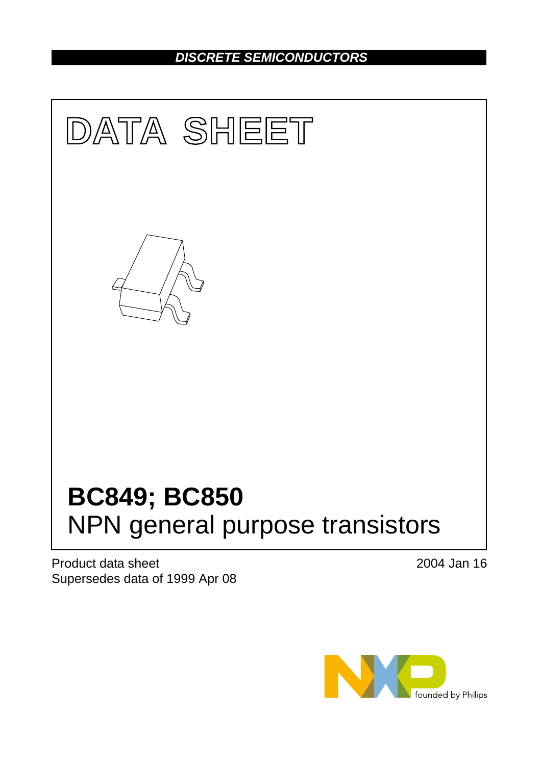# *DISCRETE SEMICONDUCTORS*



Product data sheet Supersedes data of 1999 Apr 08 2004 Jan 16

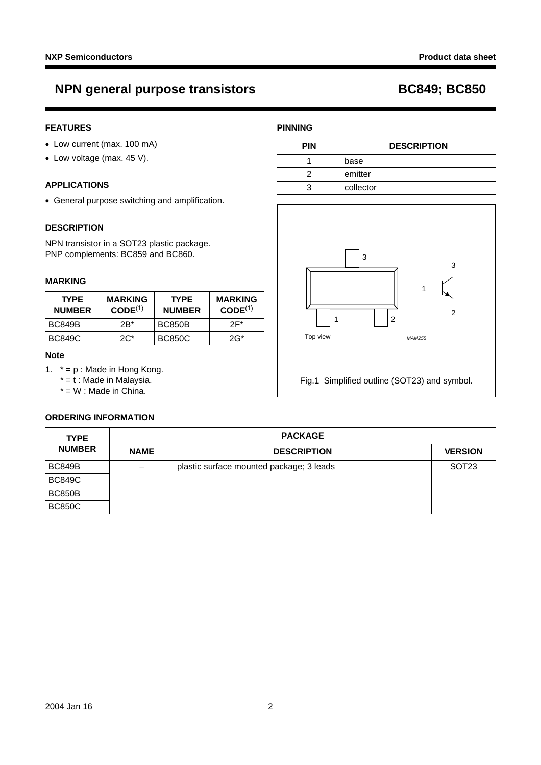# **NPN general purpose transistors BC849; BC850**

## **FEATURES**

- Low current (max. 100 mA)
- Low voltage (max. 45 V).

## **APPLICATIONS**

• General purpose switching and amplification.

# **DESCRIPTION**

NPN transistor in a SOT23 plastic package. PNP complements: BC859 and BC860.

### **MARKING**

| <b>TYPE</b><br><b>NUMBER</b> | <b>MARKING</b><br>CODE <sup>(1)</sup> | <b>TYPE</b><br><b>NUMBER</b> | <b>MARKING</b><br>CODE <sup>(1)</sup> |  |
|------------------------------|---------------------------------------|------------------------------|---------------------------------------|--|
| <b>BC849B</b>                | $2B^*$                                | <b>BC850B</b>                | $2F^*$                                |  |
| <b>BC849C</b>                | $2C^*$                                | <b>BC850C</b>                | $2G^*$                                |  |

## **Note**

- <span id="page-1-0"></span>1.  $* = p$  : Made in Hong Kong.
	- $* = t$  : Made in Malaysia.
	- \* = W : Made in China.

## **ORDERING INFORMATION**

| <b>PINNING</b> |  |
|----------------|--|
|----------------|--|

| <b>PIN</b> | <b>DESCRIPTION</b> |  |
|------------|--------------------|--|
|            | base               |  |
|            | emitter            |  |
|            | collector          |  |



| <b>TYPE</b>   | <b>PACKAGE</b> |                                          |                   |  |  |
|---------------|----------------|------------------------------------------|-------------------|--|--|
| <b>NUMBER</b> | <b>NAME</b>    | <b>DESCRIPTION</b>                       | <b>VERSION</b>    |  |  |
| <b>BC849B</b> |                | plastic surface mounted package; 3 leads | SOT <sub>23</sub> |  |  |
| <b>BC849C</b> |                |                                          |                   |  |  |
| <b>BC850B</b> |                |                                          |                   |  |  |
| <b>BC850C</b> |                |                                          |                   |  |  |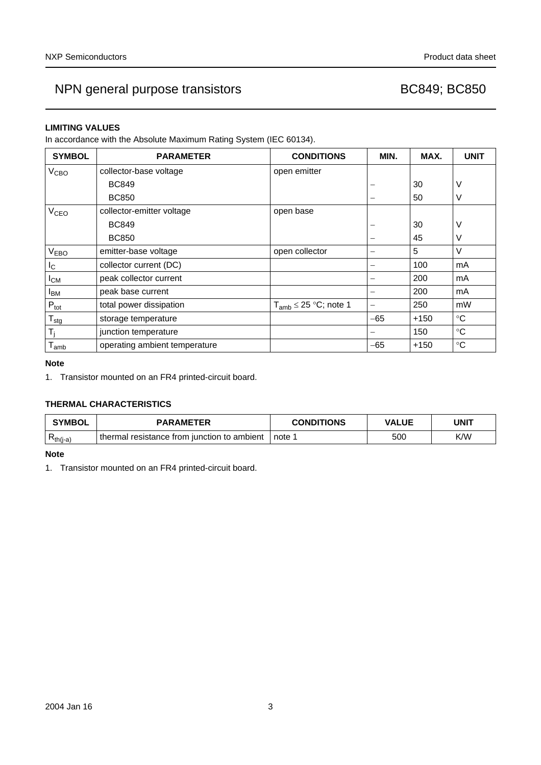# NPN general purpose transistors and a set of the BC849; BC850

## **LIMITING VALUES**

In accordance with the Absolute Maximum Rating System (IEC 60134).

| <b>SYMBOL</b>               | <b>PARAMETER</b>              | <b>CONDITIONS</b>            | MIN.  | MAX. | <b>UNIT</b>     |
|-----------------------------|-------------------------------|------------------------------|-------|------|-----------------|
| <b>V<sub>CВО</sub></b>      | collector-base voltage        | open emitter                 |       |      |                 |
|                             | <b>BC849</b>                  |                              |       | 30   | ν               |
|                             | <b>BC850</b>                  |                              |       | 50   | V               |
| <b>V<sub>CEO</sub></b>      | collector-emitter voltage     | open base                    |       |      |                 |
|                             | <b>BC849</b>                  |                              |       | 30   | ٧               |
|                             | <b>BC850</b>                  |                              |       | 45   | V               |
| <b>VEBO</b>                 | emitter-base voltage          | open collector               |       | 5    | V               |
| $I_{\rm C}$                 | collector current (DC)        |                              | -     | 100  | mA              |
| I <sub>СМ</sub>             | peak collector current        |                              |       | 200  | mA              |
| I <sub>ВМ</sub>             | peak base current             |                              | —     | 200  | mA              |
| $P_{\text{tot}}$            | total power dissipation       | $T_{amb} \leq 25$ °C; note 1 |       | 250  | mW              |
| $\mathsf{T}_{\text{stg}}$   | storage temperature           |                              | $-65$ | +150 | $\rm ^{\circ}C$ |
| $T_i$                       | junction temperature          |                              |       | 150  | $\rm ^{\circ}C$ |
| $\mathsf{T}_{\mathsf{amb}}$ | operating ambient temperature |                              | $-65$ | +150 | $\rm ^{\circ}C$ |

## **Note**

<span id="page-2-0"></span>1. Transistor mounted on an FR4 printed-circuit board.

# **THERMAL CHARACTERISTICS**

| <b>SYMBOL</b>      | <b>PARAMETER</b>                            | <b>CONDITIONS</b> | <b>VALUE</b> | <b>UNIT</b> |  |
|--------------------|---------------------------------------------|-------------------|--------------|-------------|--|
| D<br>$R_{th(j-a)}$ | thermal resistance from junction to ambient | note <sup>1</sup> | 500          | K/W         |  |

### **Note**

<span id="page-2-1"></span>1. Transistor mounted on an FR4 printed-circuit board.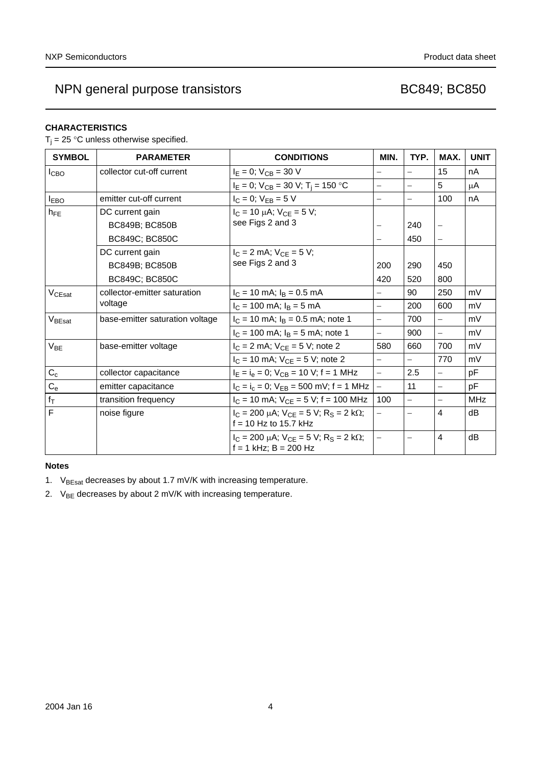# NPN general purpose transistors and the control of the BC849; BC850

# **CHARACTERISTICS**

 $T_j = 25$  °C unless otherwise specified.

| <b>SYMBOL</b>           | <b>PARAMETER</b>                | <b>CONDITIONS</b>                                                                        | MIN.                     | TYP.              | MAX.                     | <b>UNIT</b> |
|-------------------------|---------------------------------|------------------------------------------------------------------------------------------|--------------------------|-------------------|--------------------------|-------------|
| I <sub>СВО</sub>        | collector cut-off current       | $I_E = 0$ ; $V_{CB} = 30$ V                                                              |                          | L,                | 15                       | nA          |
|                         |                                 | $I_E = 0$ ; $V_{CB} = 30$ V; $T_i = 150$ °C                                              |                          | $\equiv$          | 5                        | μA          |
| <b>IEBO</b>             | emitter cut-off current         | $I_C = 0$ ; $V_{EB} = 5 V$                                                               | $\qquad \qquad -$        | $-$               | 100                      | nA          |
| $h_{FE}$                | DC current gain                 | $I_C = 10 \mu A$ ; $V_{CF} = 5 V$ ;                                                      |                          |                   |                          |             |
|                         | BC849B; BC850B                  | see Figs 2 and 3                                                                         | $\overline{\phantom{0}}$ | 240               | $\qquad \qquad -$        |             |
|                         | BC849C; BC850C                  |                                                                                          | $\overline{\phantom{0}}$ | 450               | $\overline{\phantom{0}}$ |             |
|                         | DC current gain                 | $I_C = 2$ mA; $V_{CE} = 5$ V;                                                            |                          |                   |                          |             |
|                         | BC849B; BC850B                  | see Figs 2 and 3                                                                         | 200                      | 290               | 450                      |             |
|                         | BC849C; BC850C                  |                                                                                          | 420                      | 520               | 800                      |             |
| $V_{CEsat}$             | collector-emitter saturation    | $I_C = 10$ mA; $I_B = 0.5$ mA                                                            |                          | 90                | 250                      | mV          |
|                         | voltage                         | $I_C = 100$ mA; $I_B = 5$ mA                                                             | $\equiv$                 | 200               | 600                      | mV          |
| $V_{\text{BEsat}}$      | base-emitter saturation voltage | $I_C = 10$ mA; $I_B = 0.5$ mA; note 1                                                    | $\equiv$                 | 700               | $\equiv$                 | mV          |
|                         |                                 | $I_C = 100$ mA; $I_B = 5$ mA; note 1                                                     | $\equiv$                 | 900               | $\overline{a}$           | mV          |
| $V_{BE}$                | base-emitter voltage            | $I_C = 2$ mA; $V_{CF} = 5$ V; note 2                                                     | 580                      | 660               | 700                      | mV          |
|                         |                                 | $I_C = 10$ mA; $V_{CE} = 5$ V; note 2                                                    | $\equiv$                 | $\qquad \qquad -$ | 770                      | mV          |
| $C_c$                   | collector capacitance           | $I_E = I_e = 0$ ; $V_{CB} = 10$ V; f = 1 MHz                                             | $\equiv$                 | 2.5               |                          | pF          |
| $C_{e}$                 | emitter capacitance             | $I_C = I_c = 0$ ; $V_{EB} = 500$ mV; f = 1 MHz                                           | $\equiv$                 | 11                | $\overline{\phantom{0}}$ | pF          |
| $\mathsf{f}_\mathsf{T}$ | transition frequency            | $I_C = 10$ mA; $V_{CE} = 5$ V; f = 100 MHz                                               | 100                      | $\equiv$          | $\equiv$                 | <b>MHz</b>  |
| $\overline{\mathsf{F}}$ | noise figure                    | $I_C = 200 \mu A$ ; $V_{CE} = 5 V$ ; R <sub>S</sub> = 2 kΩ;<br>$f = 10$ Hz to 15.7 kHz   | $\equiv$                 | $\equiv$          | 4                        | dB          |
|                         |                                 | $I_C = 200 \mu A$ ; $V_{CE} = 5 V$ ; R <sub>S</sub> = 2 kΩ;<br>$f = 1$ kHz; $B = 200$ Hz | $\equiv$                 | $\equiv$          | $\overline{4}$           | dB          |

## **Notes**

- <span id="page-3-0"></span>1.  $V_{\text{BEsat}}$  decreases by about 1.7 mV/K with increasing temperature.
- <span id="page-3-1"></span>2.  $V_{BE}$  decreases by about 2 mV/K with increasing temperature.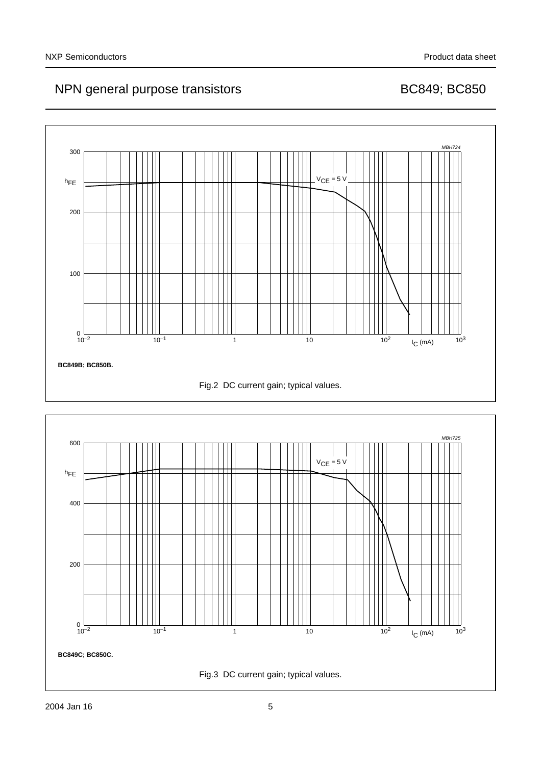# NPN general purpose transistors and a set of the BC849; BC850



<span id="page-4-1"></span><span id="page-4-0"></span>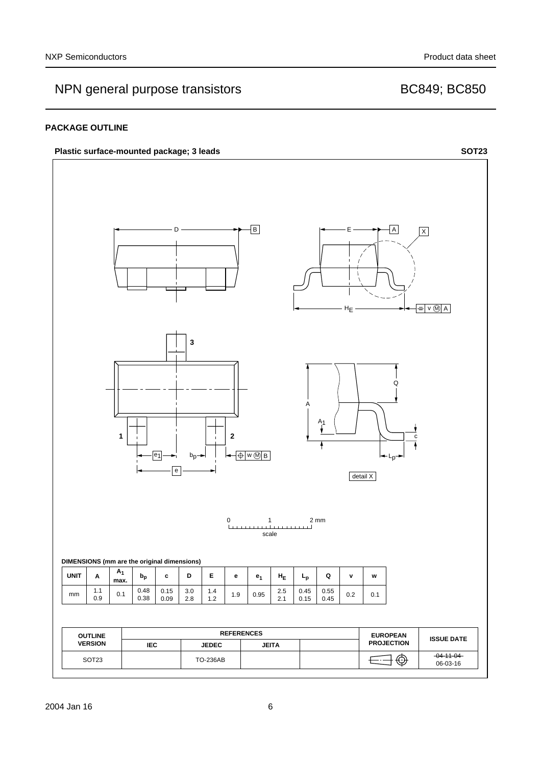# NPN general purpose transistors and a set of the BC849; BC850

## **PACKAGE OUTLINE**

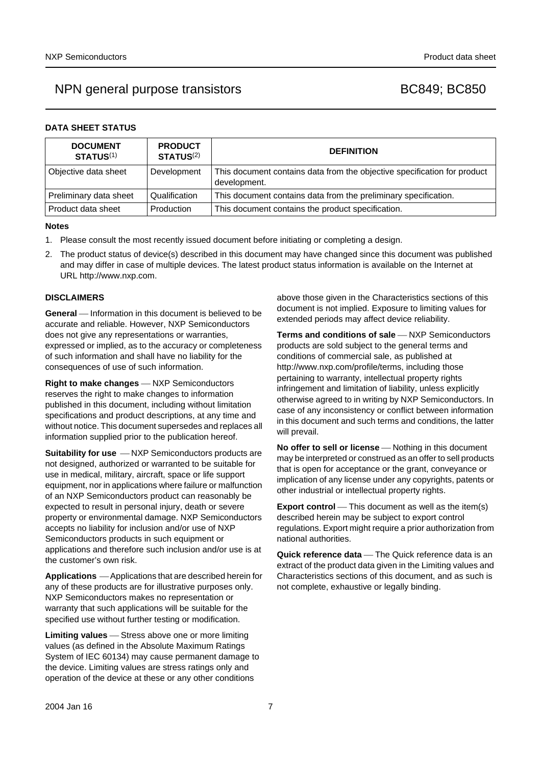# NPN general purpose transistors BC849; BC850

### **DATA SHEET STATUS**

| <b>DOCUMENT</b><br><b>STATUS(1)</b> | <b>PRODUCT</b><br><b>STATUS(2)</b> | <b>DEFINITION</b>                                                                        |
|-------------------------------------|------------------------------------|------------------------------------------------------------------------------------------|
| Objective data sheet                | Development                        | This document contains data from the objective specification for product<br>development. |
| Preliminary data sheet              | Qualification                      | This document contains data from the preliminary specification.                          |
| Product data sheet                  | Production                         | This document contains the product specification.                                        |

### **Notes**

- <span id="page-6-0"></span>1. Please consult the most recently issued document before initiating or completing a design.
- <span id="page-6-1"></span>2. The product status of device(s) described in this document may have changed since this document was published and may differ in case of multiple devices. The latest product status information is available on the Internet at URL http://www.nxp.com.

### **DISCLAIMERS**

**General** – Information in this document is believed to be accurate and reliable. However, NXP Semiconductors does not give any representations or warranties, expressed or implied, as to the accuracy or completeness of such information and shall have no liability for the consequences of use of such information.

**Right to make changes** - NXP Semiconductors reserves the right to make changes to information published in this document, including without limitation specifications and product descriptions, at any time and without notice. This document supersedes and replaces all information supplied prior to the publication hereof.

**Suitability for use**  $-MXP$  Semiconductors products are not designed, authorized or warranted to be suitable for use in medical, military, aircraft, space or life support equipment, nor in applications where failure or malfunction of an NXP Semiconductors product can reasonably be expected to result in personal injury, death or severe property or environmental damage. NXP Semiconductors accepts no liability for inclusion and/or use of NXP Semiconductors products in such equipment or applications and therefore such inclusion and/or use is at the customer's own risk.

**Applications** ⎯ Applications that are described herein for any of these products are for illustrative purposes only. NXP Semiconductors makes no representation or warranty that such applications will be suitable for the specified use without further testing or modification.

**Limiting values** – Stress above one or more limiting values (as defined in the Absolute Maximum Ratings System of IEC 60134) may cause permanent damage to the device. Limiting values are stress ratings only and operation of the device at these or any other conditions

above those given in the Characteristics sections of this document is not implied. Exposure to limiting values for extended periods may affect device reliability.

**Terms and conditions of sale** – NXP Semiconductors products are sold subject to the general terms and conditions of commercial sale, as published at http://www.nxp.com/profile/terms, including those pertaining to warranty, intellectual property rights infringement and limitation of liability, unless explicitly [otherwise agreed to in writing by NXP Semiconductors. In](http://www.nxp.com/profile/terms)  case of any inconsistency or conflict between information in this document and such terms and conditions, the latter will prevail.

**No offer to sell or license** – Nothing in this document may be interpreted or construed as an offer to sell products that is open for acceptance or the grant, conveyance or implication of any license under any copyrights, patents or other industrial or intellectual property rights.

**Export control** — This document as well as the item(s) described herein may be subject to export control regulations. Export might require a prior authorization from national authorities.

**Quick reference data** — The Quick reference data is an extract of the product data given in the Limiting values and Characteristics sections of this document, and as such is not complete, exhaustive or legally binding.